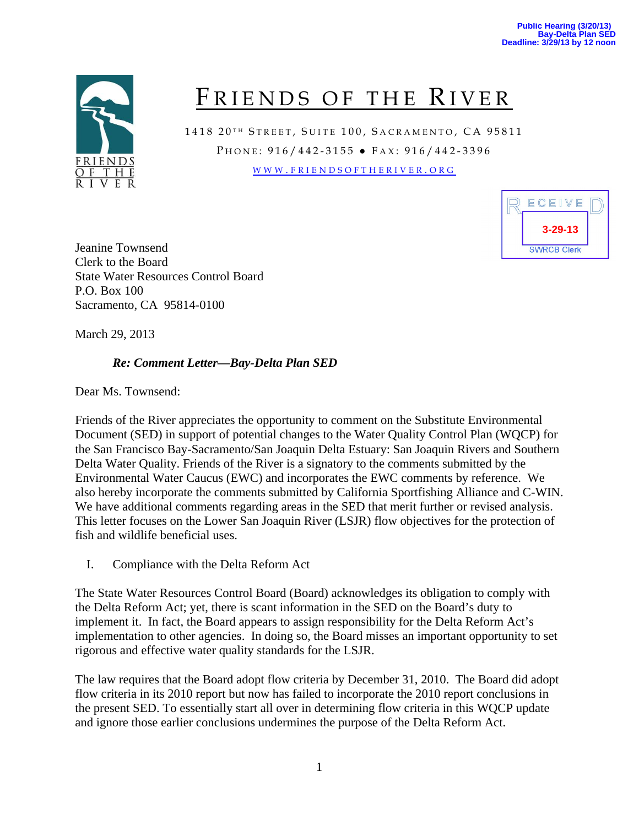

# FRIENDS OF THE RIVER

1418 20TH STREET, SUITE 100, SACRAMENTO, CA 95811 PHONE: 916/442-3155 • FAX: 916/442-3396 WWW . FRIENDSOFTHERIVER . ORG



Jeanine Townsend Clerk to the Board State Water Resources Control Board P.O. Box 100 Sacramento, CA 95814-0100

March 29, 2013

## *Re: Comment Letter—Bay-Delta Plan SED*

Dear Ms. Townsend:

Friends of the River appreciates the opportunity to comment on the Substitute Environmental Document (SED) in support of potential changes to the Water Quality Control Plan (WQCP) for the San Francisco Bay-Sacramento/San Joaquin Delta Estuary: San Joaquin Rivers and Southern Delta Water Quality. Friends of the River is a signatory to the comments submitted by the Environmental Water Caucus (EWC) and incorporates the EWC comments by reference. We also hereby incorporate the comments submitted by California Sportfishing Alliance and C-WIN. We have additional comments regarding areas in the SED that merit further or revised analysis. This letter focuses on the Lower San Joaquin River (LSJR) flow objectives for the protection of fish and wildlife beneficial uses.

I. Compliance with the Delta Reform Act

The State Water Resources Control Board (Board) acknowledges its obligation to comply with the Delta Reform Act; yet, there is scant information in the SED on the Board's duty to implement it. In fact, the Board appears to assign responsibility for the Delta Reform Act's implementation to other agencies. In doing so, the Board misses an important opportunity to set rigorous and effective water quality standards for the LSJR.

The law requires that the Board adopt flow criteria by December 31, 2010. The Board did adopt flow criteria in its 2010 report but now has failed to incorporate the 2010 report conclusions in the present SED. To essentially start all over in determining flow criteria in this WQCP update and ignore those earlier conclusions undermines the purpose of the Delta Reform Act.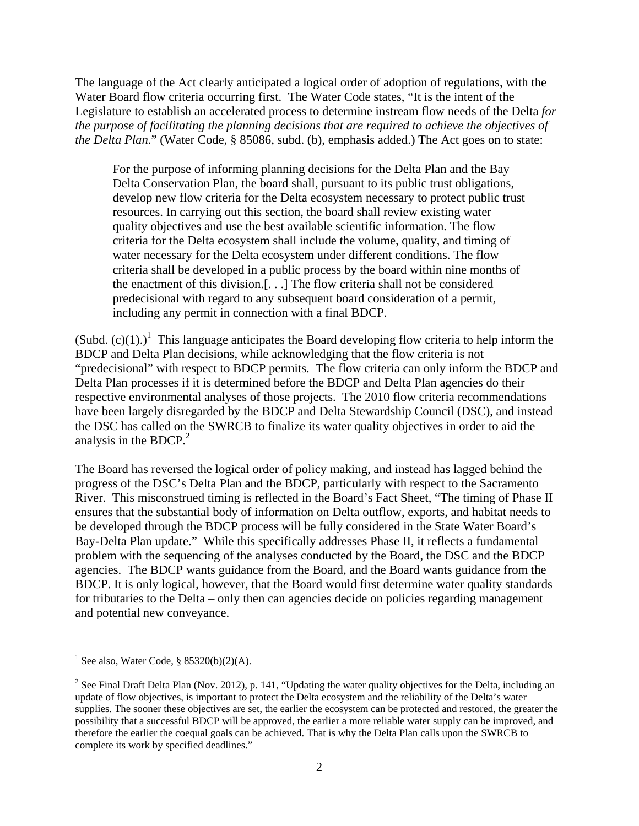The language of the Act clearly anticipated a logical order of adoption of regulations, with the Water Board flow criteria occurring first. The Water Code states, "It is the intent of the Legislature to establish an accelerated process to determine instream flow needs of the Delta *for the purpose of facilitating the planning decisions that are required to achieve the objectives of the Delta Plan*." (Water Code, § 85086, subd. (b), emphasis added.) The Act goes on to state:

For the purpose of informing planning decisions for the Delta Plan and the Bay Delta Conservation Plan, the board shall, pursuant to its public trust obligations, develop new flow criteria for the Delta ecosystem necessary to protect public trust resources. In carrying out this section, the board shall review existing water quality objectives and use the best available scientific information. The flow criteria for the Delta ecosystem shall include the volume, quality, and timing of water necessary for the Delta ecosystem under different conditions. The flow criteria shall be developed in a public process by the board within nine months of the enactment of this division.[. . .] The flow criteria shall not be considered predecisional with regard to any subsequent board consideration of a permit, including any permit in connection with a final BDCP.

(Subd.  $(c)(1)$ .)<sup>1</sup> This language anticipates the Board developing flow criteria to help inform the BDCP and Delta Plan decisions, while acknowledging that the flow criteria is not "predecisional" with respect to BDCP permits. The flow criteria can only inform the BDCP and Delta Plan processes if it is determined before the BDCP and Delta Plan agencies do their respective environmental analyses of those projects. The 2010 flow criteria recommendations have been largely disregarded by the BDCP and Delta Stewardship Council (DSC), and instead the DSC has called on the SWRCB to finalize its water quality objectives in order to aid the analysis in the BDCP. $^{2}$ 

The Board has reversed the logical order of policy making, and instead has lagged behind the progress of the DSC's Delta Plan and the BDCP, particularly with respect to the Sacramento River. This misconstrued timing is reflected in the Board's Fact Sheet, "The timing of Phase II ensures that the substantial body of information on Delta outflow, exports, and habitat needs to be developed through the BDCP process will be fully considered in the State Water Board's Bay-Delta Plan update." While this specifically addresses Phase II, it reflects a fundamental problem with the sequencing of the analyses conducted by the Board, the DSC and the BDCP agencies. The BDCP wants guidance from the Board, and the Board wants guidance from the BDCP. It is only logical, however, that the Board would first determine water quality standards for tributaries to the Delta – only then can agencies decide on policies regarding management and potential new conveyance.

 $\overline{a}$ 

<sup>&</sup>lt;sup>1</sup> See also, Water Code, § 85320(b)(2)(A).

<sup>&</sup>lt;sup>2</sup> See Final Draft Delta Plan (Nov. 2012), p. 141, "Updating the water quality objectives for the Delta, including an update of flow objectives, is important to protect the Delta ecosystem and the reliability of the Delta's water supplies. The sooner these objectives are set, the earlier the ecosystem can be protected and restored, the greater the possibility that a successful BDCP will be approved, the earlier a more reliable water supply can be improved, and therefore the earlier the coequal goals can be achieved. That is why the Delta Plan calls upon the SWRCB to complete its work by specified deadlines."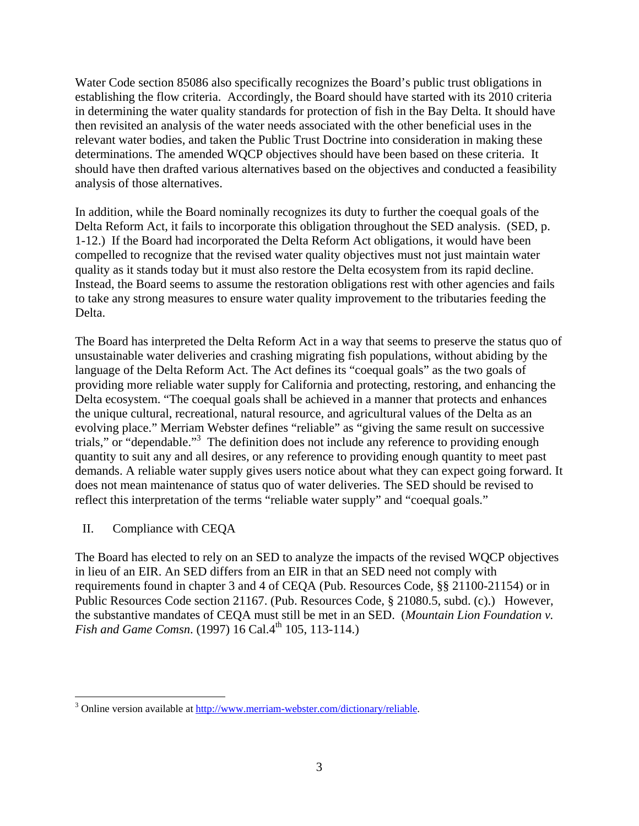Water Code section 85086 also specifically recognizes the Board's public trust obligations in establishing the flow criteria. Accordingly, the Board should have started with its 2010 criteria in determining the water quality standards for protection of fish in the Bay Delta. It should have then revisited an analysis of the water needs associated with the other beneficial uses in the relevant water bodies, and taken the Public Trust Doctrine into consideration in making these determinations. The amended WQCP objectives should have been based on these criteria. It should have then drafted various alternatives based on the objectives and conducted a feasibility analysis of those alternatives.

In addition, while the Board nominally recognizes its duty to further the coequal goals of the Delta Reform Act, it fails to incorporate this obligation throughout the SED analysis. (SED, p. 1-12.) If the Board had incorporated the Delta Reform Act obligations, it would have been compelled to recognize that the revised water quality objectives must not just maintain water quality as it stands today but it must also restore the Delta ecosystem from its rapid decline. Instead, the Board seems to assume the restoration obligations rest with other agencies and fails to take any strong measures to ensure water quality improvement to the tributaries feeding the Delta.

The Board has interpreted the Delta Reform Act in a way that seems to preserve the status quo of unsustainable water deliveries and crashing migrating fish populations, without abiding by the language of the Delta Reform Act. The Act defines its "coequal goals" as the two goals of providing more reliable water supply for California and protecting, restoring, and enhancing the Delta ecosystem. "The coequal goals shall be achieved in a manner that protects and enhances the unique cultural, recreational, natural resource, and agricultural values of the Delta as an evolving place." Merriam Webster defines "reliable" as "giving the same result on successive trials," or "dependable."<sup>3</sup> The definition does not include any reference to providing enough quantity to suit any and all desires, or any reference to providing enough quantity to meet past demands. A reliable water supply gives users notice about what they can expect going forward. It does not mean maintenance of status quo of water deliveries. The SED should be revised to reflect this interpretation of the terms "reliable water supply" and "coequal goals."

## II. Compliance with CEQA

The Board has elected to rely on an SED to analyze the impacts of the revised WQCP objectives in lieu of an EIR. An SED differs from an EIR in that an SED need not comply with requirements found in chapter 3 and 4 of CEQA (Pub. Resources Code, §§ 21100-21154) or in Public Resources Code section 21167. (Pub. Resources Code, § 21080.5, subd. (c).) However, the substantive mandates of CEQA must still be met in an SED. (*Mountain Lion Foundation v. Fish and Game Comsn.* (1997) 16 Cal.4<sup>th</sup> 105, 113-114.)

<sup>&</sup>lt;sup>3</sup> Online version available at <u>http://www.merriam-webster.com/dictionary/reliable</u>.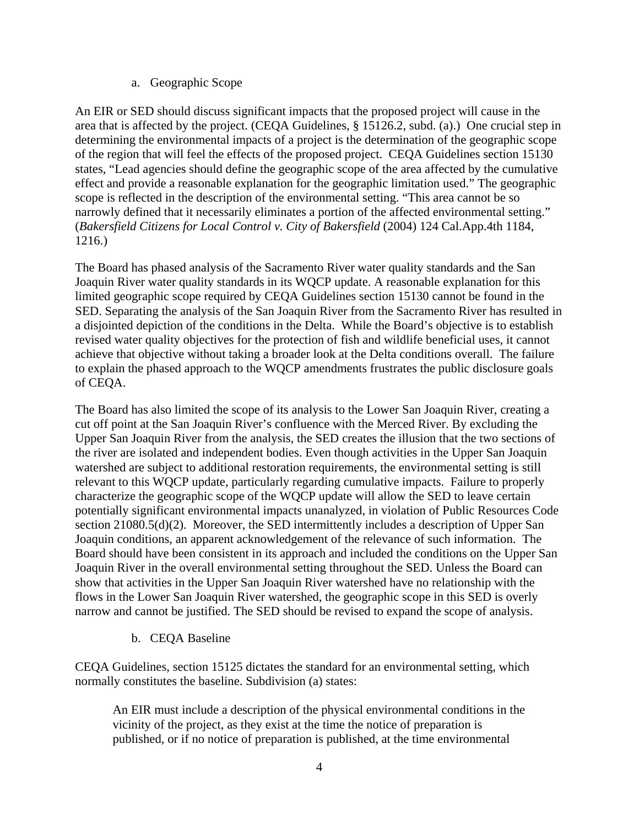a. Geographic Scope

An EIR or SED should discuss significant impacts that the proposed project will cause in the area that is affected by the project. (CEQA Guidelines, § 15126.2, subd. (a).) One crucial step in determining the environmental impacts of a project is the determination of the geographic scope of the region that will feel the effects of the proposed project. CEQA Guidelines section 15130 states, "Lead agencies should define the geographic scope of the area affected by the cumulative effect and provide a reasonable explanation for the geographic limitation used." The geographic scope is reflected in the description of the environmental setting. "This area cannot be so narrowly defined that it necessarily eliminates a portion of the affected environmental setting." (*Bakersfield Citizens for Local Control v. City of Bakersfield* (2004) 124 Cal.App.4th 1184, 1216.)

The Board has phased analysis of the Sacramento River water quality standards and the San Joaquin River water quality standards in its WQCP update. A reasonable explanation for this limited geographic scope required by CEQA Guidelines section 15130 cannot be found in the SED. Separating the analysis of the San Joaquin River from the Sacramento River has resulted in a disjointed depiction of the conditions in the Delta. While the Board's objective is to establish revised water quality objectives for the protection of fish and wildlife beneficial uses, it cannot achieve that objective without taking a broader look at the Delta conditions overall. The failure to explain the phased approach to the WQCP amendments frustrates the public disclosure goals of CEQA.

The Board has also limited the scope of its analysis to the Lower San Joaquin River, creating a cut off point at the San Joaquin River's confluence with the Merced River. By excluding the Upper San Joaquin River from the analysis, the SED creates the illusion that the two sections of the river are isolated and independent bodies. Even though activities in the Upper San Joaquin watershed are subject to additional restoration requirements, the environmental setting is still relevant to this WQCP update, particularly regarding cumulative impacts. Failure to properly characterize the geographic scope of the WQCP update will allow the SED to leave certain potentially significant environmental impacts unanalyzed, in violation of Public Resources Code section 21080.5(d)(2). Moreover, the SED intermittently includes a description of Upper San Joaquin conditions, an apparent acknowledgement of the relevance of such information. The Board should have been consistent in its approach and included the conditions on the Upper San Joaquin River in the overall environmental setting throughout the SED. Unless the Board can show that activities in the Upper San Joaquin River watershed have no relationship with the flows in the Lower San Joaquin River watershed, the geographic scope in this SED is overly narrow and cannot be justified. The SED should be revised to expand the scope of analysis.

b. CEQA Baseline

CEQA Guidelines, section 15125 dictates the standard for an environmental setting, which normally constitutes the baseline. Subdivision (a) states:

An EIR must include a description of the physical environmental conditions in the vicinity of the project, as they exist at the time the notice of preparation is published, or if no notice of preparation is published, at the time environmental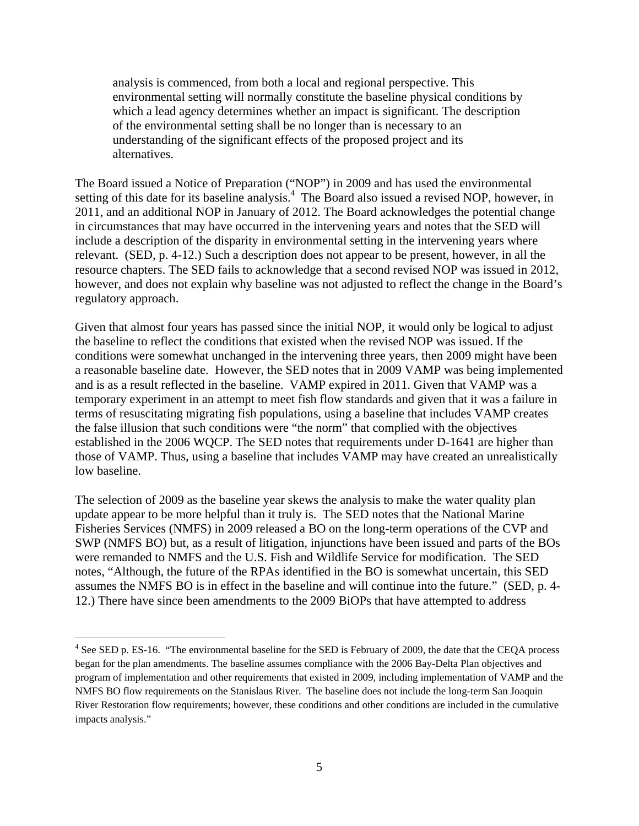analysis is commenced, from both a local and regional perspective. This environmental setting will normally constitute the baseline physical conditions by which a lead agency determines whether an impact is significant. The description of the environmental setting shall be no longer than is necessary to an understanding of the significant effects of the proposed project and its alternatives.

The Board issued a Notice of Preparation ("NOP") in 2009 and has used the environmental setting of this date for its baseline analysis.<sup>4</sup> The Board also issued a revised NOP, however, in 2011, and an additional NOP in January of 2012. The Board acknowledges the potential change in circumstances that may have occurred in the intervening years and notes that the SED will include a description of the disparity in environmental setting in the intervening years where relevant. (SED, p. 4-12.) Such a description does not appear to be present, however, in all the resource chapters. The SED fails to acknowledge that a second revised NOP was issued in 2012, however, and does not explain why baseline was not adjusted to reflect the change in the Board's regulatory approach.

Given that almost four years has passed since the initial NOP, it would only be logical to adjust the baseline to reflect the conditions that existed when the revised NOP was issued. If the conditions were somewhat unchanged in the intervening three years, then 2009 might have been a reasonable baseline date. However, the SED notes that in 2009 VAMP was being implemented and is as a result reflected in the baseline. VAMP expired in 2011. Given that VAMP was a temporary experiment in an attempt to meet fish flow standards and given that it was a failure in terms of resuscitating migrating fish populations, using a baseline that includes VAMP creates the false illusion that such conditions were "the norm" that complied with the objectives established in the 2006 WQCP. The SED notes that requirements under D-1641 are higher than those of VAMP. Thus, using a baseline that includes VAMP may have created an unrealistically low baseline.

The selection of 2009 as the baseline year skews the analysis to make the water quality plan update appear to be more helpful than it truly is. The SED notes that the National Marine Fisheries Services (NMFS) in 2009 released a BO on the long-term operations of the CVP and SWP (NMFS BO) but, as a result of litigation, injunctions have been issued and parts of the BOs were remanded to NMFS and the U.S. Fish and Wildlife Service for modification. The SED notes, "Although, the future of the RPAs identified in the BO is somewhat uncertain, this SED assumes the NMFS BO is in effect in the baseline and will continue into the future." (SED, p. 4- 12.) There have since been amendments to the 2009 BiOPs that have attempted to address

 $\overline{a}$ 

<sup>&</sup>lt;sup>4</sup> See SED p. ES-16. "The environmental baseline for the SED is February of 2009, the date that the CEQA process began for the plan amendments. The baseline assumes compliance with the 2006 Bay-Delta Plan objectives and program of implementation and other requirements that existed in 2009, including implementation of VAMP and the NMFS BO flow requirements on the Stanislaus River. The baseline does not include the long-term San Joaquin River Restoration flow requirements; however, these conditions and other conditions are included in the cumulative impacts analysis."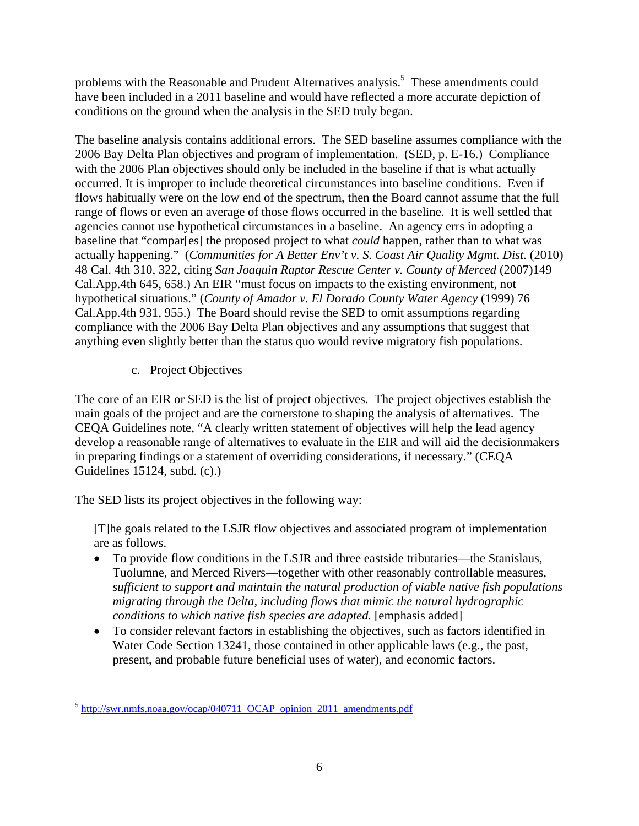problems with the Reasonable and Prudent Alternatives analysis.<sup>5</sup> These amendments could have been included in a 2011 baseline and would have reflected a more accurate depiction of conditions on the ground when the analysis in the SED truly began.

The baseline analysis contains additional errors. The SED baseline assumes compliance with the 2006 Bay Delta Plan objectives and program of implementation. (SED, p. E-16.) Compliance with the 2006 Plan objectives should only be included in the baseline if that is what actually occurred. It is improper to include theoretical circumstances into baseline conditions. Even if flows habitually were on the low end of the spectrum, then the Board cannot assume that the full range of flows or even an average of those flows occurred in the baseline. It is well settled that agencies cannot use hypothetical circumstances in a baseline. An agency errs in adopting a baseline that "compar[es] the proposed project to what *could* happen, rather than to what was actually happening." (*Communities for A Better Env't v. S. Coast Air Quality Mgmt. Dist.* (2010) 48 Cal. 4th 310, 322, citing *San Joaquin Raptor Rescue Center v. County of Merced* (2007)149 Cal.App.4th 645, 658.) An EIR "must focus on impacts to the existing environment, not hypothetical situations." (*County of Amador v. El Dorado County Water Agency* (1999) 76 Cal.App.4th 931, 955.) The Board should revise the SED to omit assumptions regarding compliance with the 2006 Bay Delta Plan objectives and any assumptions that suggest that anything even slightly better than the status quo would revive migratory fish populations.

c. Project Objectives

The core of an EIR or SED is the list of project objectives. The project objectives establish the main goals of the project and are the cornerstone to shaping the analysis of alternatives. The CEQA Guidelines note, "A clearly written statement of objectives will help the lead agency develop a reasonable range of alternatives to evaluate in the EIR and will aid the decisionmakers in preparing findings or a statement of overriding considerations, if necessary." (CEQA Guidelines 15124, subd. (c).)

The SED lists its project objectives in the following way:

[T]he goals related to the LSJR flow objectives and associated program of implementation are as follows.

- To provide flow conditions in the LSJR and three eastside tributaries—the Stanislaus, Tuolumne, and Merced Rivers—together with other reasonably controllable measures, *sufficient to support and maintain the natural production of viable native fish populations migrating through the Delta, including flows that mimic the natural hydrographic conditions to which native fish species are adapted.* [emphasis added]
- To consider relevant factors in establishing the objectives, such as factors identified in Water Code Section 13241, those contained in other applicable laws (e.g., the past, present, and probable future beneficial uses of water), and economic factors.

 $\overline{a}$ <sup>5</sup> http://swr.nmfs.noaa.gov/ocap/040711\_OCAP\_opinion\_2011\_amendments.pdf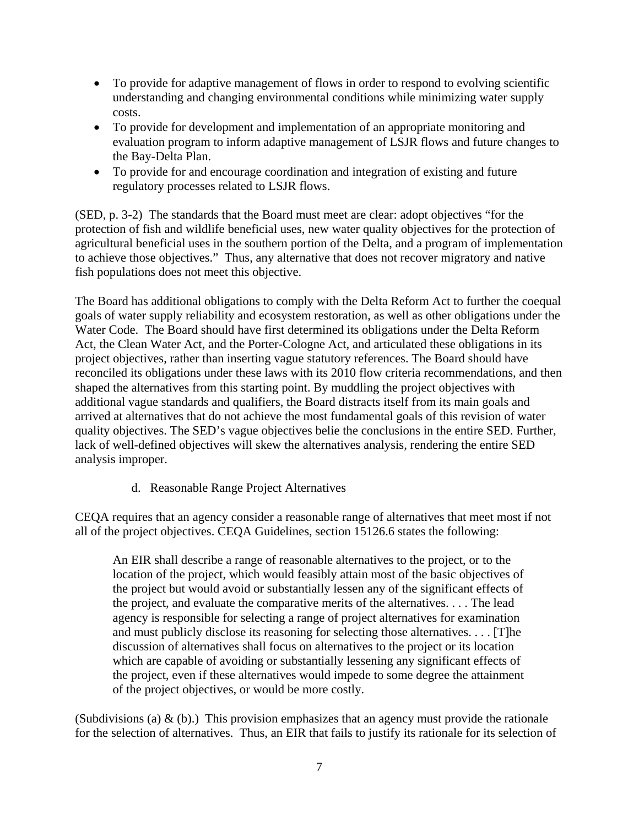- To provide for adaptive management of flows in order to respond to evolving scientific understanding and changing environmental conditions while minimizing water supply costs.
- To provide for development and implementation of an appropriate monitoring and evaluation program to inform adaptive management of LSJR flows and future changes to the Bay-Delta Plan.
- To provide for and encourage coordination and integration of existing and future regulatory processes related to LSJR flows.

(SED, p. 3-2) The standards that the Board must meet are clear: adopt objectives "for the protection of fish and wildlife beneficial uses, new water quality objectives for the protection of agricultural beneficial uses in the southern portion of the Delta, and a program of implementation to achieve those objectives." Thus, any alternative that does not recover migratory and native fish populations does not meet this objective.

The Board has additional obligations to comply with the Delta Reform Act to further the coequal goals of water supply reliability and ecosystem restoration, as well as other obligations under the Water Code. The Board should have first determined its obligations under the Delta Reform Act, the Clean Water Act, and the Porter-Cologne Act, and articulated these obligations in its project objectives, rather than inserting vague statutory references. The Board should have reconciled its obligations under these laws with its 2010 flow criteria recommendations, and then shaped the alternatives from this starting point. By muddling the project objectives with additional vague standards and qualifiers, the Board distracts itself from its main goals and arrived at alternatives that do not achieve the most fundamental goals of this revision of water quality objectives. The SED's vague objectives belie the conclusions in the entire SED. Further, lack of well-defined objectives will skew the alternatives analysis, rendering the entire SED analysis improper.

d. Reasonable Range Project Alternatives

CEQA requires that an agency consider a reasonable range of alternatives that meet most if not all of the project objectives. CEQA Guidelines, section 15126.6 states the following:

An EIR shall describe a range of reasonable alternatives to the project, or to the location of the project, which would feasibly attain most of the basic objectives of the project but would avoid or substantially lessen any of the significant effects of the project, and evaluate the comparative merits of the alternatives. . . . The lead agency is responsible for selecting a range of project alternatives for examination and must publicly disclose its reasoning for selecting those alternatives. . . . [T]he discussion of alternatives shall focus on alternatives to the project or its location which are capable of avoiding or substantially lessening any significant effects of the project, even if these alternatives would impede to some degree the attainment of the project objectives, or would be more costly.

(Subdivisions (a)  $\&$  (b).) This provision emphasizes that an agency must provide the rationale for the selection of alternatives. Thus, an EIR that fails to justify its rationale for its selection of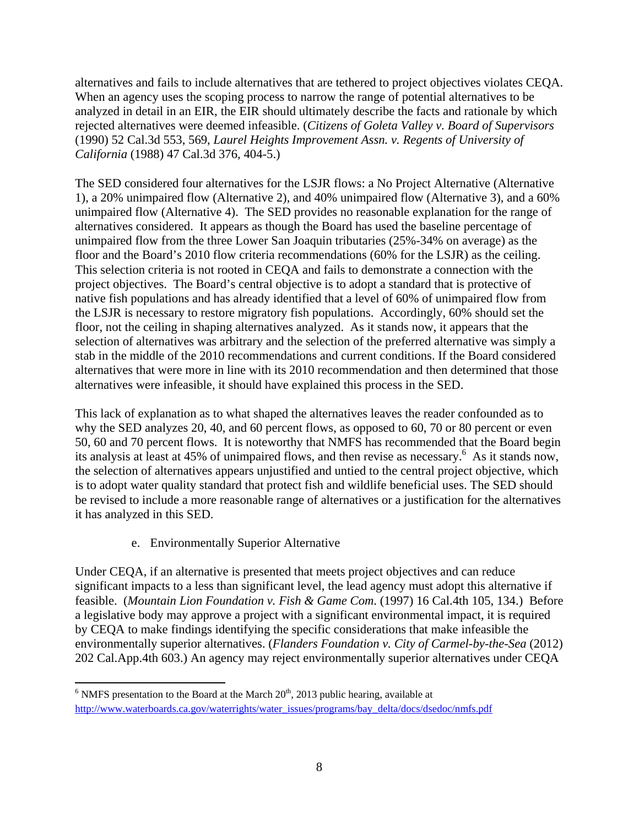alternatives and fails to include alternatives that are tethered to project objectives violates CEQA. When an agency uses the scoping process to narrow the range of potential alternatives to be analyzed in detail in an EIR, the EIR should ultimately describe the facts and rationale by which rejected alternatives were deemed infeasible. (*Citizens of Goleta Valley v. Board of Supervisors* (1990) 52 Cal.3d 553, 569, *Laurel Heights Improvement Assn. v. Regents of University of California* (1988) 47 Cal.3d 376, 404-5.)

The SED considered four alternatives for the LSJR flows: a No Project Alternative (Alternative 1), a 20% unimpaired flow (Alternative 2), and 40% unimpaired flow (Alternative 3), and a 60% unimpaired flow (Alternative 4). The SED provides no reasonable explanation for the range of alternatives considered. It appears as though the Board has used the baseline percentage of unimpaired flow from the three Lower San Joaquin tributaries (25%-34% on average) as the floor and the Board's 2010 flow criteria recommendations (60% for the LSJR) as the ceiling. This selection criteria is not rooted in CEQA and fails to demonstrate a connection with the project objectives. The Board's central objective is to adopt a standard that is protective of native fish populations and has already identified that a level of 60% of unimpaired flow from the LSJR is necessary to restore migratory fish populations. Accordingly, 60% should set the floor, not the ceiling in shaping alternatives analyzed. As it stands now, it appears that the selection of alternatives was arbitrary and the selection of the preferred alternative was simply a stab in the middle of the 2010 recommendations and current conditions. If the Board considered alternatives that were more in line with its 2010 recommendation and then determined that those alternatives were infeasible, it should have explained this process in the SED.

This lack of explanation as to what shaped the alternatives leaves the reader confounded as to why the SED analyzes 20, 40, and 60 percent flows, as opposed to 60, 70 or 80 percent or even 50, 60 and 70 percent flows. It is noteworthy that NMFS has recommended that the Board begin its analysis at least at 45% of unimpaired flows, and then revise as necessary.<sup>6</sup> As it stands now, the selection of alternatives appears unjustified and untied to the central project objective, which is to adopt water quality standard that protect fish and wildlife beneficial uses. The SED should be revised to include a more reasonable range of alternatives or a justification for the alternatives it has analyzed in this SED.

e. Environmentally Superior Alternative

Under CEQA, if an alternative is presented that meets project objectives and can reduce significant impacts to a less than significant level, the lead agency must adopt this alternative if feasible. (*Mountain Lion Foundation v. Fish & Game Com*. (1997) 16 Cal.4th 105, 134.) Before a legislative body may approve a project with a significant environmental impact, it is required by CEQA to make findings identifying the specific considerations that make infeasible the environmentally superior alternatives. (*Flanders Foundation v. City of Carmel-by-the-Sea* (2012) 202 Cal.App.4th 603.) An agency may reject environmentally superior alternatives under CEQA

 $\overline{a}$  $6$  NMFS presentation to the Board at the March  $20<sup>th</sup>$ ,  $2013$  public hearing, available at http://www.waterboards.ca.gov/waterrights/water\_issues/programs/bay\_delta/docs/dsedoc/nmfs.pdf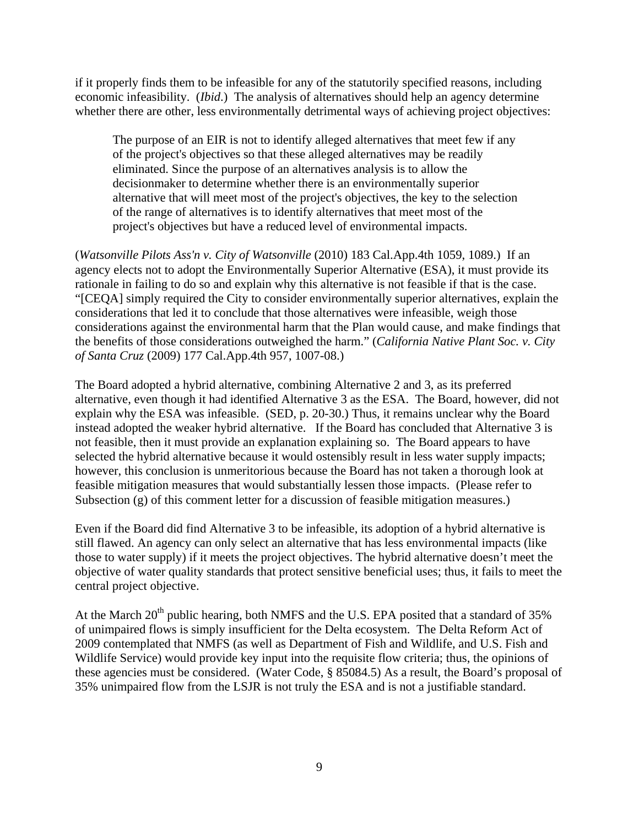if it properly finds them to be infeasible for any of the statutorily specified reasons, including economic infeasibility. (*Ibid*.) The analysis of alternatives should help an agency determine whether there are other, less environmentally detrimental ways of achieving project objectives:

The purpose of an EIR is not to identify alleged alternatives that meet few if any of the project's objectives so that these alleged alternatives may be readily eliminated. Since the purpose of an alternatives analysis is to allow the decisionmaker to determine whether there is an environmentally superior alternative that will meet most of the project's objectives, the key to the selection of the range of alternatives is to identify alternatives that meet most of the project's objectives but have a reduced level of environmental impacts.

(*Watsonville Pilots Ass'n v. City of Watsonville* (2010) 183 Cal.App.4th 1059, 1089.) If an agency elects not to adopt the Environmentally Superior Alternative (ESA), it must provide its rationale in failing to do so and explain why this alternative is not feasible if that is the case. "[CEQA] simply required the City to consider environmentally superior alternatives, explain the considerations that led it to conclude that those alternatives were infeasible, weigh those considerations against the environmental harm that the Plan would cause, and make findings that the benefits of those considerations outweighed the harm." (*California Native Plant Soc. v. City of Santa Cruz* (2009) 177 Cal.App.4th 957, 1007-08.)

The Board adopted a hybrid alternative, combining Alternative 2 and 3, as its preferred alternative, even though it had identified Alternative 3 as the ESA. The Board, however, did not explain why the ESA was infeasible. (SED, p. 20-30.) Thus, it remains unclear why the Board instead adopted the weaker hybrid alternative. If the Board has concluded that Alternative 3 is not feasible, then it must provide an explanation explaining so. The Board appears to have selected the hybrid alternative because it would ostensibly result in less water supply impacts; however, this conclusion is unmeritorious because the Board has not taken a thorough look at feasible mitigation measures that would substantially lessen those impacts. (Please refer to Subsection (g) of this comment letter for a discussion of feasible mitigation measures.)

Even if the Board did find Alternative 3 to be infeasible, its adoption of a hybrid alternative is still flawed. An agency can only select an alternative that has less environmental impacts (like those to water supply) if it meets the project objectives. The hybrid alternative doesn't meet the objective of water quality standards that protect sensitive beneficial uses; thus, it fails to meet the central project objective.

At the March  $20^{th}$  public hearing, both NMFS and the U.S. EPA posited that a standard of 35% of unimpaired flows is simply insufficient for the Delta ecosystem. The Delta Reform Act of 2009 contemplated that NMFS (as well as Department of Fish and Wildlife, and U.S. Fish and Wildlife Service) would provide key input into the requisite flow criteria; thus, the opinions of these agencies must be considered. (Water Code, § 85084.5) As a result, the Board's proposal of 35% unimpaired flow from the LSJR is not truly the ESA and is not a justifiable standard.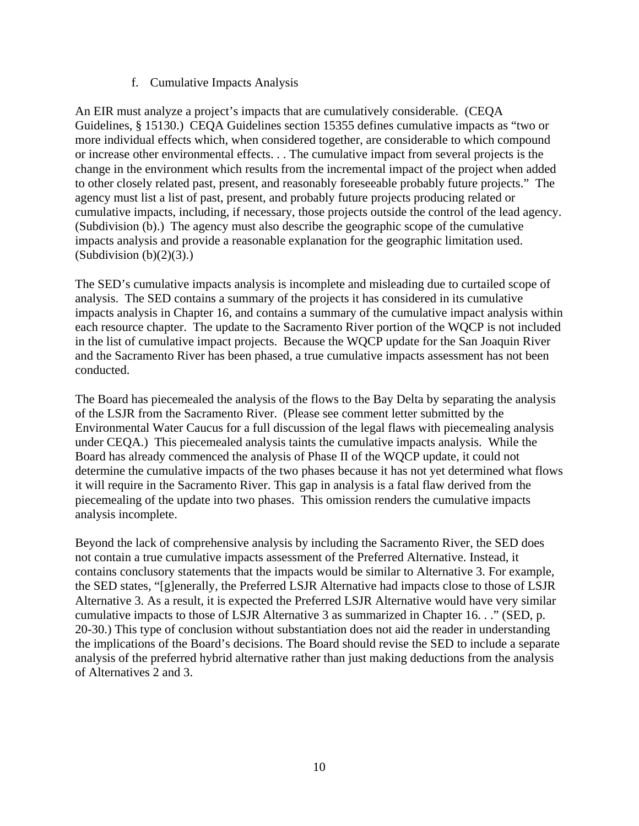#### f. Cumulative Impacts Analysis

An EIR must analyze a project's impacts that are cumulatively considerable. (CEQA Guidelines, § 15130.) CEQA Guidelines section 15355 defines cumulative impacts as "two or more individual effects which, when considered together, are considerable to which compound or increase other environmental effects. . . The cumulative impact from several projects is the change in the environment which results from the incremental impact of the project when added to other closely related past, present, and reasonably foreseeable probably future projects." The agency must list a list of past, present, and probably future projects producing related or cumulative impacts, including, if necessary, those projects outside the control of the lead agency. (Subdivision (b).) The agency must also describe the geographic scope of the cumulative impacts analysis and provide a reasonable explanation for the geographic limitation used. (Subdivision  $(b)(2)(3)$ .)

The SED's cumulative impacts analysis is incomplete and misleading due to curtailed scope of analysis. The SED contains a summary of the projects it has considered in its cumulative impacts analysis in Chapter 16, and contains a summary of the cumulative impact analysis within each resource chapter. The update to the Sacramento River portion of the WQCP is not included in the list of cumulative impact projects. Because the WQCP update for the San Joaquin River and the Sacramento River has been phased, a true cumulative impacts assessment has not been conducted.

The Board has piecemealed the analysis of the flows to the Bay Delta by separating the analysis of the LSJR from the Sacramento River. (Please see comment letter submitted by the Environmental Water Caucus for a full discussion of the legal flaws with piecemealing analysis under CEQA.) This piecemealed analysis taints the cumulative impacts analysis. While the Board has already commenced the analysis of Phase II of the WQCP update, it could not determine the cumulative impacts of the two phases because it has not yet determined what flows it will require in the Sacramento River. This gap in analysis is a fatal flaw derived from the piecemealing of the update into two phases. This omission renders the cumulative impacts analysis incomplete.

Beyond the lack of comprehensive analysis by including the Sacramento River, the SED does not contain a true cumulative impacts assessment of the Preferred Alternative. Instead, it contains conclusory statements that the impacts would be similar to Alternative 3. For example, the SED states, "[g]enerally, the Preferred LSJR Alternative had impacts close to those of LSJR Alternative 3. As a result, it is expected the Preferred LSJR Alternative would have very similar cumulative impacts to those of LSJR Alternative 3 as summarized in Chapter 16. . ." (SED, p. 20-30.) This type of conclusion without substantiation does not aid the reader in understanding the implications of the Board's decisions. The Board should revise the SED to include a separate analysis of the preferred hybrid alternative rather than just making deductions from the analysis of Alternatives 2 and 3.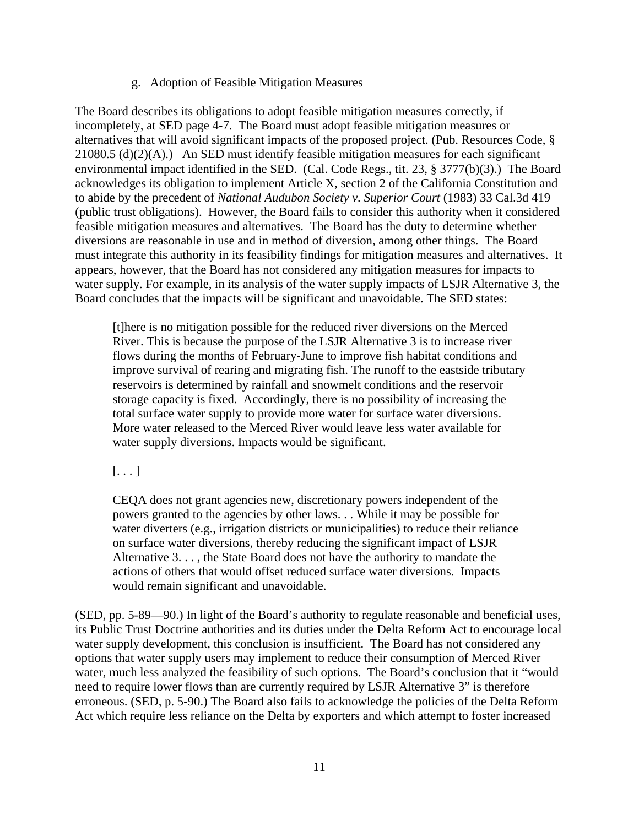#### g. Adoption of Feasible Mitigation Measures

The Board describes its obligations to adopt feasible mitigation measures correctly, if incompletely, at SED page 4-7. The Board must adopt feasible mitigation measures or alternatives that will avoid significant impacts of the proposed project. (Pub. Resources Code, § 21080.5 (d)(2)(A).) An SED must identify feasible mitigation measures for each significant environmental impact identified in the SED. (Cal. Code Regs., tit. 23, § 3777(b)(3).) The Board acknowledges its obligation to implement Article X, section 2 of the California Constitution and to abide by the precedent of *National Audubon Society v. Superior Court* (1983) 33 Cal.3d 419 (public trust obligations). However, the Board fails to consider this authority when it considered feasible mitigation measures and alternatives. The Board has the duty to determine whether diversions are reasonable in use and in method of diversion, among other things. The Board must integrate this authority in its feasibility findings for mitigation measures and alternatives. It appears, however, that the Board has not considered any mitigation measures for impacts to water supply. For example, in its analysis of the water supply impacts of LSJR Alternative 3, the Board concludes that the impacts will be significant and unavoidable. The SED states:

[t]here is no mitigation possible for the reduced river diversions on the Merced River. This is because the purpose of the LSJR Alternative 3 is to increase river flows during the months of February-June to improve fish habitat conditions and improve survival of rearing and migrating fish. The runoff to the eastside tributary reservoirs is determined by rainfall and snowmelt conditions and the reservoir storage capacity is fixed. Accordingly, there is no possibility of increasing the total surface water supply to provide more water for surface water diversions. More water released to the Merced River would leave less water available for water supply diversions. Impacts would be significant.

## $[\ldots]$

CEQA does not grant agencies new, discretionary powers independent of the powers granted to the agencies by other laws. . . While it may be possible for water diverters (e.g., irrigation districts or municipalities) to reduce their reliance on surface water diversions, thereby reducing the significant impact of LSJR Alternative 3. . . , the State Board does not have the authority to mandate the actions of others that would offset reduced surface water diversions. Impacts would remain significant and unavoidable.

(SED, pp. 5-89—90.) In light of the Board's authority to regulate reasonable and beneficial uses, its Public Trust Doctrine authorities and its duties under the Delta Reform Act to encourage local water supply development, this conclusion is insufficient. The Board has not considered any options that water supply users may implement to reduce their consumption of Merced River water, much less analyzed the feasibility of such options. The Board's conclusion that it "would need to require lower flows than are currently required by LSJR Alternative 3" is therefore erroneous. (SED, p. 5-90.) The Board also fails to acknowledge the policies of the Delta Reform Act which require less reliance on the Delta by exporters and which attempt to foster increased